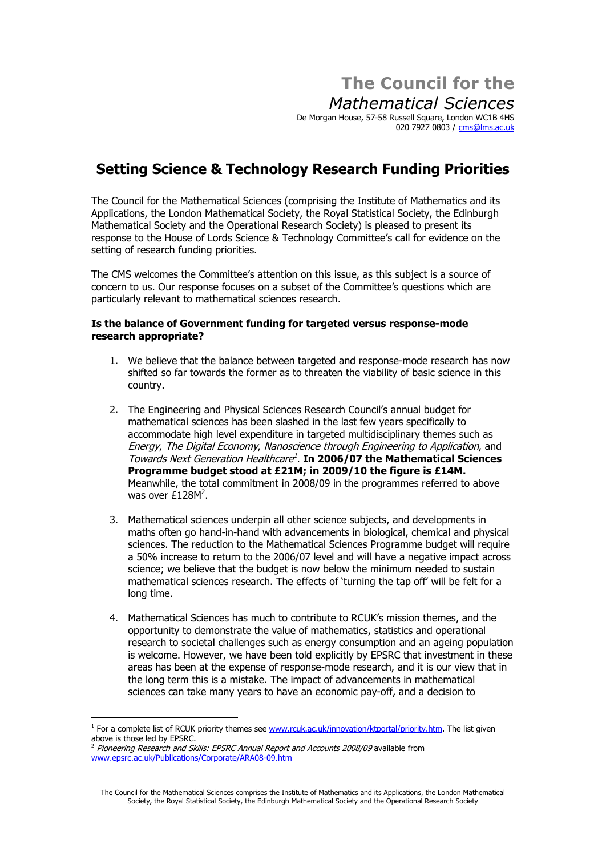# **The Council for the Mathematical Sciences**

De Morgan House, 57-58 Russell Square, London WC1B 4HS 020 7927 0803 / [cms@lms.ac.uk](mailto:cms@lms.ac.uk)

## **Setting Science & Technology Research Funding Priorities**

The Council for the Mathematical Sciences (comprising the Institute of Mathematics and its Applications, the London Mathematical Society, the Royal Statistical Society, the Edinburgh Mathematical Society and the Operational Research Society) is pleased to present its response to the House of Lords Science & Technology Committeeís call for evidence on the setting of research funding priorities.

The CMS welcomes the Committeeís attention on this issue, as this subject is a source of concern to us. Our response focuses on a subset of the Committeeís questions which are particularly relevant to mathematical sciences research.

#### **Is the balance of Government funding for targeted versus response-mode research appropriate?**

- 1. We believe that the balance between targeted and response-mode research has now shifted so far towards the former as to threaten the viability of basic science in this country.
- 2. The Engineering and Physical Sciences Research Councilís annual budget for mathematical sciences has been slashed in the last few years specifically to accommodate high level expenditure in targeted multidisciplinary themes such as Energy, The Digital Economy, Nanoscience through Engineering to Application, and Towards Next Generation Healthcare 1 . **In 2006/07 the Mathematical Sciences Programme budget stood at £21M; in 2009/10 the figure is £14M.** Meanwhile, the total commitment in 2008/09 in the programmes referred to above was over  $£128M<sup>2</sup>$ .
- 3. Mathematical sciences underpin all other science subjects, and developments in maths often go hand-in-hand with advancements in biological, chemical and physical sciences. The reduction to the Mathematical Sciences Programme budget will require a 50% increase to return to the 2006/07 leveland will have a negative impact across science; we believe that the budget is now below the minimum needed to sustain mathematical sciences research. The effects of 'turning the tap off' will be felt for a long time.
- 4. Mathematical Sciences has much to contribute to RCUKís mission themes, and the opportunity to demonstrate the value of mathematics, statistics and operational research to societal challenges such as energy consumption and an ageing population is welcome. However, we have been told explicitly by EPSRC that investment in these areas has been at the expense of response-mode research, and it is our view that in the long term this is a mistake. The impact of advancements in mathematical sciences can take many years to have an economic pay-off, and a decision to

 $1$  For a complete list of RCUK priority themes see [www.rcuk.ac.uk/innovation/ktportal/priority.htm.](http://www.rcuk.ac.uk/innovation/ktportal/priority.htm) The list given above is those led by EPSRC.

 $^2$  Pioneering Research and Skills: EPSRC Annual Report and Accounts 2008/09 available from [www.epsrc.ac.uk/Publications/Corporate/ARA08-09.htm](http://www.epsrc.ac.uk/Publications/Corporate/ARA08-09.htm)

The Council for the Mathematical Sciences comprises the Institute of Mathematics and its Applications, the London Mathematical Society, the Royal Statistical Society, the Edinburgh Mathematical Society and the Operational Research Society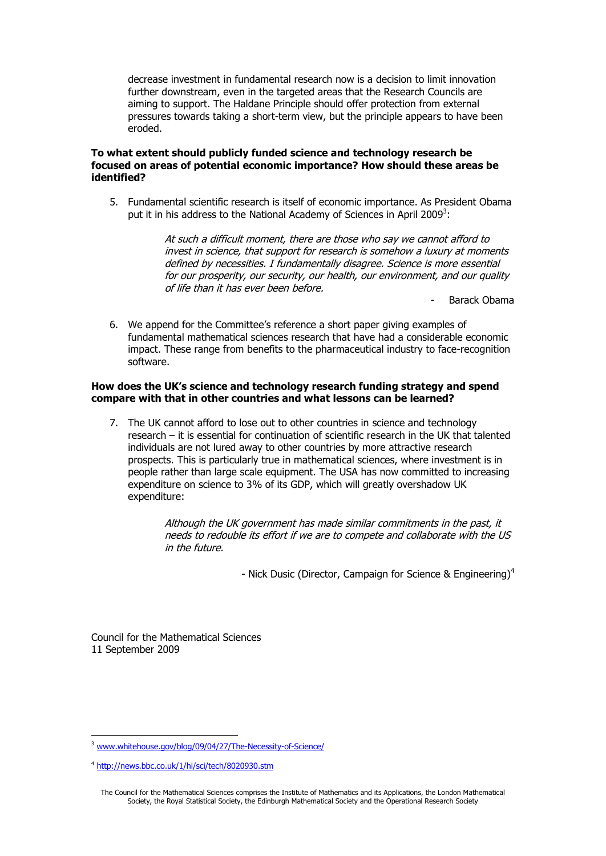decrease investment in fundamental research now is a decision to limit innovation further downstream, even in the targeted areas that the Research Councils are aiming to support. The Haldane Principle should offer protection from external pressures towards taking a short-term view, but the principle appears to have been eroded.

#### **To what extent should publicly funded science and technology research be focused on areas of potential economic importance? How should these areas be identified?**

5. Fundamental scientific research is itself of economic importance. As President Obama put it in his address to the National Academy of Sciences in April 2009 3:

> At such <sup>a</sup> difficult moment, there are those who say we cannot afford to invest in science, that support for research is somehow a luxury at moments defined by necessities. I fundamentally disagree. Science is more essential for our prosperity, our security, our health, our environment, and our quality of life than it has ever been before. -

Barack Obama

6. We append for the Committeeís reference a short paper giving examples of fundamental mathematical sciences research that have had a considerable economic impact. These range from benefits to the pharmaceutical industry to face-recognition software.

#### **How does the UKís science and technology research funding strategy and spend compare with that in other countries and what lessons can be learned?**

7. The UK cannot afford to lose out to other countries in science and technology research  $-$  it is essential for continuation of scientific research in the UK that talented individuals are not lured away to other countries by more attractive research prospects. This is particularly true in mathematical sciences, where investment is in .<br>people rather than large scale equipment. The USA has now committed to increasing expenditure on science to 3% of its GDP, which will greatly overshadow UK expenditure:

> Although the UK government has made similar commitments in the past, it needs to redouble its effort if we are to compete and collaborate with the US in the future.

> > - Nick Dusic (Director, Campaign for Science & Engineering)<sup>4</sup>

Council for the Mathematical Sciences 11 September 2009

 $^3$  [www.whitehouse.gov/blog/09/04/27/The-Necessity-of-Science/](http://www.whitehouse.gov/blog/09/04/27/The-Necessity-of-Science/)

<sup>&</sup>lt;sup>4</sup> <http://news.bbc.co.uk/1/hi/sci/tech/8020930.stm>

The Council for the Mathematical Sciences comprises the Institute of Mathematics and its Applications, the London Mathematical Society, the Royal Statistical Society, the Edinburgh Mathematical Society and the Operational Research Society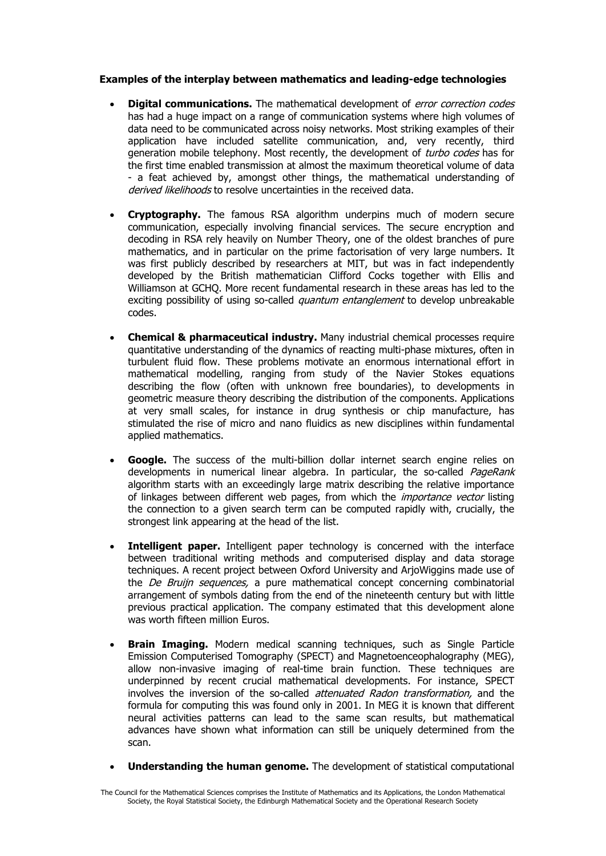### **Examples of the interplay between mathematics and leading-edge technologies**

- **Digital communications.** The mathematical development of error correction codes has had a huge impact on a range of communication systems where high volumes of data need to be communicated across noisy networks. Most striking examples of their application have included satellite communication, and, very recently, third qeneration mobile telephony. Most recently, the development of *turbo codes* has for the first time enabled transmission at almost the maximum theoretical volume of data - a feat achieved by, amongst other things, the mathematical understanding of derived likelihoods to resolve uncertainties in the received data.
- **Cryptography.** The famous RSA algorithm underpins much of modern secure communication, especially involving financial services. The secure encryption and decoding in RSA rely heavily on Number Theory, one of the oldest branches of pure mathematics, and in particular on the prime factorisation of very large numbers. It was first publicly described by researchers at MIT, but was in fact independently developed by the British mathematician Clifford Cocks together with Ellis and Williamson at GCHQ. More recent fundamental research in these areas has led to the exciting possibility of using so-called *quantum entanglement* to develop unbreakable codes.
- **Chemical & pharmaceutical industry.** Many industrial chemical processes require  $\bullet$ quantitative understanding of the dynamics of reacting multi-phase mixtures, often in turbulent fluid flow. These problems motivate an enormous international effort in mathematical modelling, ranging from study of the Navier Stokes equations describing the flow (often with unknown free boundaries), to developments in geometric measure theory describing the distribution of the components. Applications at very small scales, for instance in drug synthesis or chip manufacture, has stimulated the rise of micro and nano fluidics as new disciplines within fundamental applied mathematics.
- **Google.** The success of the multi-billion dollar internet search engine relies on developments in numerical linear algebra. In particular, the so-called *PageRank* algorithm starts with an exceedingly large matrix describing the relative importance of linkages between different web pages, from which the *importance vector* listing the connection to a given search term can be computed rapidly with, crucially, the strongest link appearing at the head of the list.
- **Intelligent paper.** Intelligent paper technology is concerned with the interface between traditional writing methods and computerised display and data storage techniques. A recent project between Oxford University and ArjoWiggins made use of the *De Bruijn sequences,* a pure mathematical concept concerning combinatorial arrangement of symbols dating from the end of the nineteenth century but with little previous practical application. The company estimated that this development alone was worth fifteen million Euros.
- **Brain Imaging.** Modern medical scanning techniques, such as Single Particle  $\bullet$ Emission Computerised Tomography (SPECT) and Magnetoenceophalography (MEG), allow non-invasive imaging of real-time brain function. These techniques are underpinned by recent crucial mathematical developments. For instance, SPECT involves the inversion of the so-called *attenuated Radon transformation,* and the formula for computing this was found only in 2001. In MEG it is known that different neural activities patterns can lead to the same scan results, but mathematical advances have shown what information can still be uniquely determined from the scan.
- **Understanding the human genome.** The development of statistical computational

The Council for the Mathematical Sciences comprises the Institute of Mathematics and its Applications, the London Mathematical Society, the Royal Statistical Society, the Edinburgh Mathematical Society and the Operational Research Society